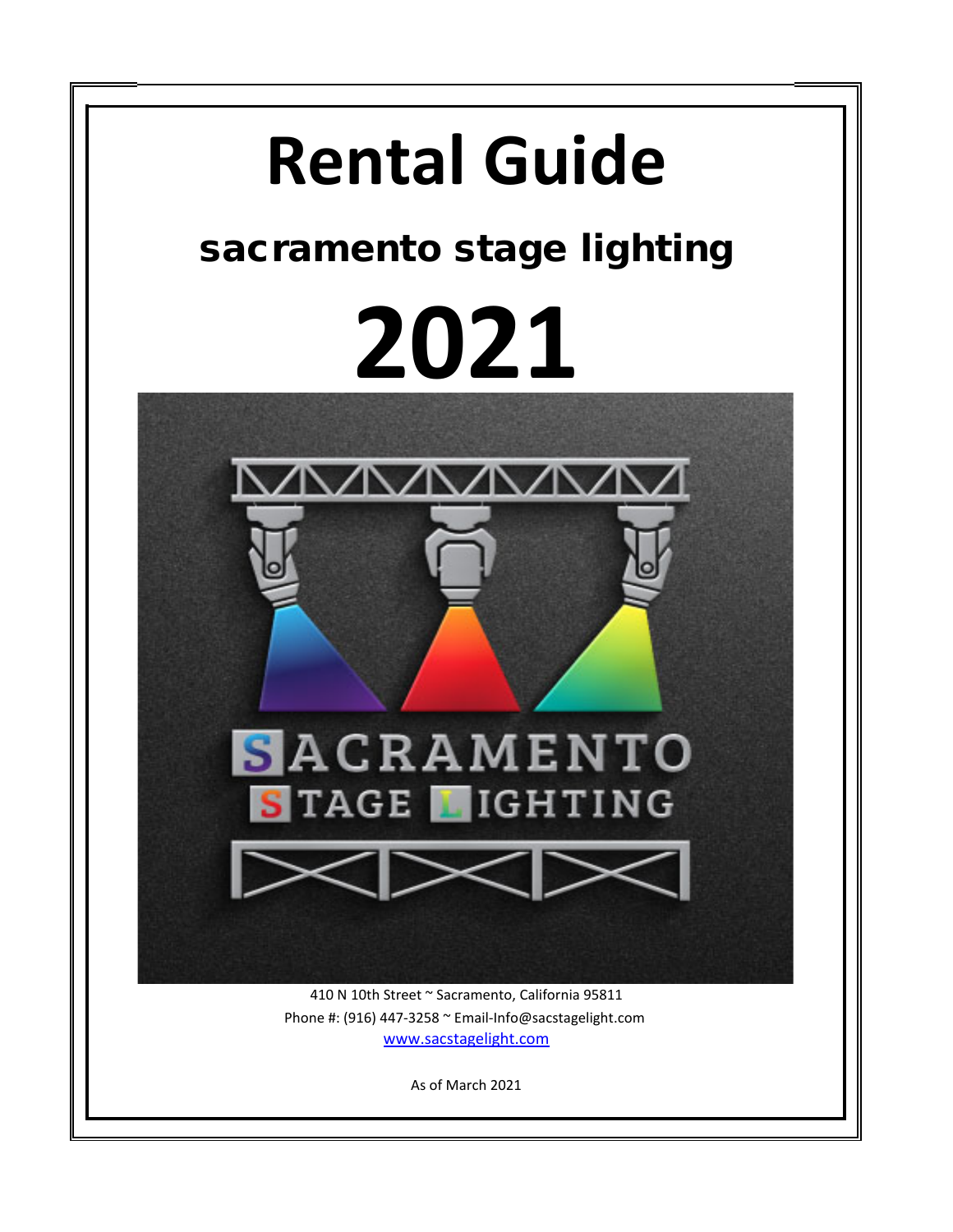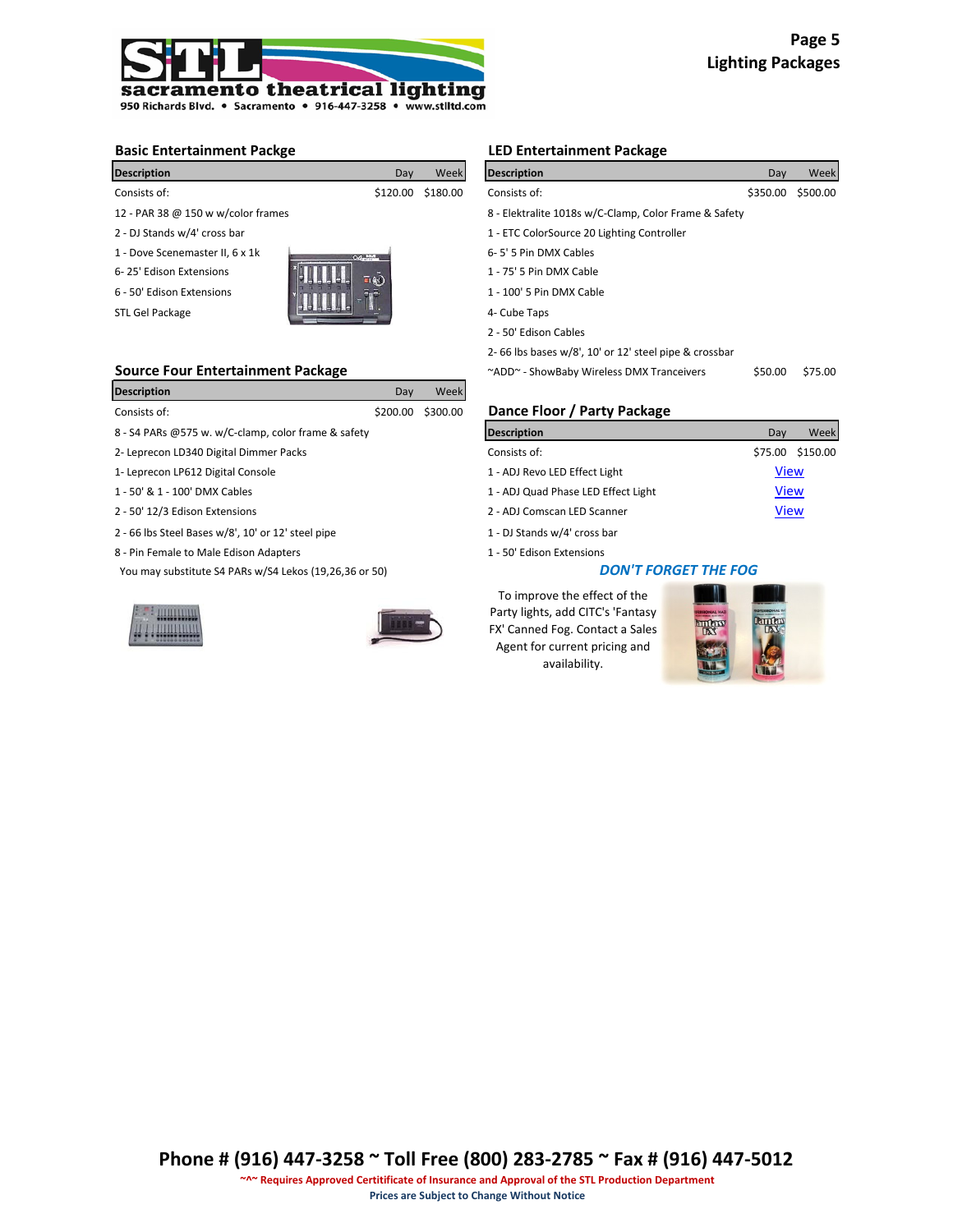

| <b>Description</b>                 | Day           | Week              | <b>Description</b>                                    | Day      | Week     |  |  |
|------------------------------------|---------------|-------------------|-------------------------------------------------------|----------|----------|--|--|
| Consists of:                       |               | \$120.00 \$180.00 | Consists of:                                          | \$350.00 | \$500.00 |  |  |
| 12 - PAR 38 @ 150 w w/color frames |               |                   | 8 - Elektralite 1018s w/C-Clamp, Color Frame & Safety |          |          |  |  |
| 2 - DJ Stands w/4' cross bar       |               |                   | 1 - ETC ColorSource 20 Lighting Controller            |          |          |  |  |
| 1 - Dove Scenemaster II, 6 x 1k    | $OQ$ and $OQ$ |                   | 6-5' 5 Pin DMX Cables                                 |          |          |  |  |
| 6-25' Edison Extensions            | $- (8)$       |                   | 1 - 75' 5 Pin DMX Cable                               |          |          |  |  |
| 6 - 50' Edison Extensions          |               |                   | 1 - 100' 5 Pin DMX Cable                              |          |          |  |  |
| STL Gel Package                    |               |                   | 4- Cube Taps                                          |          |          |  |  |

| <b>Description</b>                                  | Dav      | Week     |                               |         |          |
|-----------------------------------------------------|----------|----------|-------------------------------|---------|----------|
| Consists of:                                        | \$200.00 | \$300.00 | Dance Floor / Party Package   |         |          |
| 8 - S4 PARs @575 w. w/C-clamp, color frame & safety |          |          | <b>Description</b>            | Day     | Week     |
| 2- Leprecon LD340 Digital Dimmer Packs              |          |          | Consists of:                  | \$75.00 | \$150.00 |
| 1- Leprecon LP612 Digital Console                   |          |          | 1 - ADJ Revo LED Effect Light | View    |          |

- 1 50' & 1 100' DMX Cables
- 2 50' 12/3 Edison Extensions
- 2 66 lbs Steel Bases w/8', 10' or 12' steel pipe 1 DJ Stands w/4' cross bar
- 8 Pin Female to Male Edison Adapters 1 50' Edison Extensions

You may substitute S4 PARs w/S4 Lekos (19,26,36 or 50)





# **Basic Entertainment Packge LED Entertainment Package**

| <b>Description</b>                       | Day                | Week     | <b>Description</b>                                    | Day      | Week     |
|------------------------------------------|--------------------|----------|-------------------------------------------------------|----------|----------|
| Consists of:                             | \$120.00           | \$180.00 | Consists of:                                          | \$350.00 | \$500.00 |
| 12 - PAR 38 @ 150 w w/color frames       |                    |          | 8 - Elektralite 1018s w/C-Clamp, Color Frame & Safety |          |          |
| 2 - DJ Stands w/4' cross bar             |                    |          | 1 - ETC ColorSource 20 Lighting Controller            |          |          |
| 1 - Dove Scenemaster II, 6 x 1k          | OG SIM             |          | 6-5' 5 Pin DMX Cables                                 |          |          |
| 6-25' Edison Extensions                  | $\overline{=}$ (c) |          | 1 - 75' 5 Pin DMX Cable                               |          |          |
| 6 - 50' Edison Extensions                |                    |          | 1 - 100' 5 Pin DMX Cable                              |          |          |
| STL Gel Package                          |                    |          | 4- Cube Taps                                          |          |          |
|                                          |                    |          | 2 - 50' Edison Cables                                 |          |          |
|                                          |                    |          | 2-66 lbs bases w/8', 10' or 12' steel pipe & crossbar |          |          |
| <b>Source Four Entertainment Package</b> |                    |          | ~ADD~ - ShowBaby Wireless DMX Tranceivers             | \$50.00  | \$75.00  |

## Dance Floor / Party Package

| <b>Description</b>                     | Dav         | Week             |
|----------------------------------------|-------------|------------------|
| Consists of:                           |             | \$75.00 \$150.00 |
| 1 - ADJ Revo LED Effect Light          | <b>View</b> |                  |
| 1 - ADJ Quad Phase LED Effect Light    | <b>View</b> |                  |
| 2 - ADJ Comscan LED Scanner            | <b>View</b> |                  |
| 1 - DJ Stande w/ $\Lambda^1$ cross har |             |                  |

#### *DON'T FORGET THE FOG*

To improve the effect of the Party lights, add CITC's 'Fantasy FX' Canned Fog. Contact a Sales Agent for current pricing and availability.

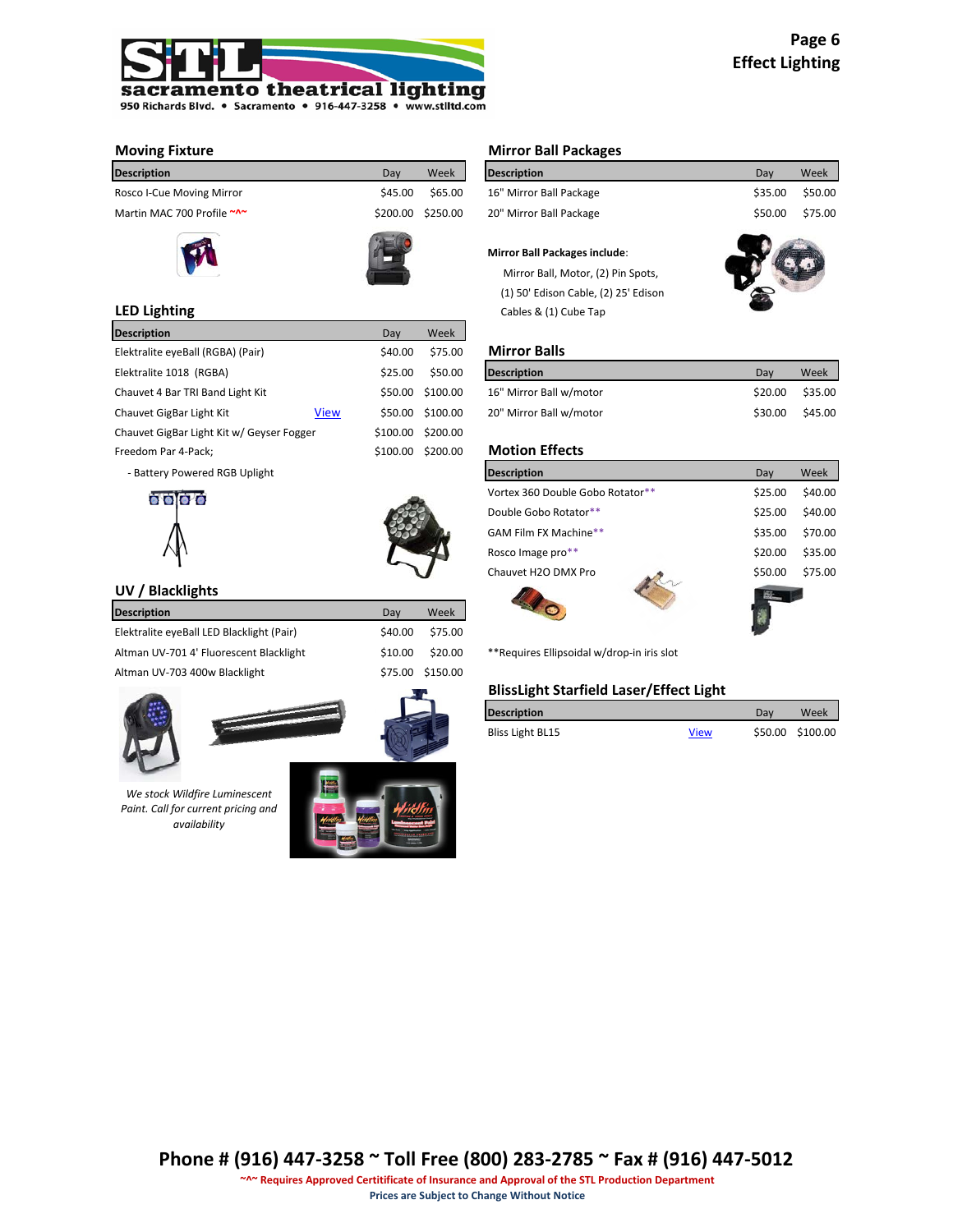

| <b>Description</b>         | Dav     | Week              | <b>Description</b>      | Dav     | Week    |
|----------------------------|---------|-------------------|-------------------------|---------|---------|
| Rosco I-Cue Moving Mirror  | \$45.00 | \$65.00           | 16" Mirror Ball Package | \$35.00 | \$50.00 |
| Martin MAC 700 Profile ~^~ |         | \$200.00 \$250.00 | 20" Mirror Ball Package | \$50.00 | \$75.00 |
|                            |         |                   |                         |         |         |





| <b>Description</b>                        |             | Day      | Week             |                         |         |          |
|-------------------------------------------|-------------|----------|------------------|-------------------------|---------|----------|
| Elektralite eyeBall (RGBA) (Pair)         |             | \$40.00  | \$75.00          | <b>Mirror Balls</b>     |         |          |
| Elektralite 1018 (RGBA)                   |             | \$25.00  | \$50.00          | <b>Description</b>      | Day     | Week     |
| Chauvet 4 Bar TRI Band Light Kit          |             |          | \$50.00 \$100.00 | 16" Mirror Ball w/motor | \$20.00 | \$35.00  |
| Chauvet GigBar Light Kit                  | <b>View</b> |          | \$50.00 \$100.00 | 20" Mirror Ball w/motor | \$30.00 | \$45.00  |
| Chauvet GigBar Light Kit w/ Geyser Fogger |             | \$100.00 | \$200.00         |                         |         |          |
| Freedom Par 4-Pack;                       |             | \$100.00 | \$200.00         | <b>Motion Effects</b>   |         |          |
| .                                         |             |          |                  | $\cdots$                |         | $\cdots$ |

- Battery Powered RGB Uplight





# **UV / Blacklights**

| <b>Description</b>                        | Dav     | Week             |
|-------------------------------------------|---------|------------------|
| Elektralite eyeBall LED Blacklight (Pair) | \$40.00 | \$75.00          |
| Altman UV-701 4' Fluorescent Blacklight   | \$10.00 | \$20.00          |
| Altman UV-703 400w Blacklight             |         | \$75.00 \$150.00 |
|                                           |         |                  |





*We stock Wildfire Luminescent Paint. Call for current pricing and availability*



# **Moving Fixture Mirror Ball Packages**

| <b>Description</b>                   | Dav     | Week    |
|--------------------------------------|---------|---------|
| 16" Mirror Ball Package              | \$35.00 | \$50.00 |
| 20" Mirror Ball Package              | \$50.00 | \$75.00 |
| <b>Mirror Ball Packages include:</b> |         |         |

Mirror Ball, Motor, (2) Pin Spots,

 (1) 50' Edison Cable, (2) 25' Edison **LED Lighting** Cables & (1) Cube Tap

# **Mirror Balls**

| Description             | Dav     | Week    |
|-------------------------|---------|---------|
| 16" Mirror Ball w/motor | \$20.00 | \$35.00 |
| 20" Mirror Ball w/motor | \$30.00 | \$45.00 |

# **Motion Effects**

| <b>Description</b>               | Day     | Week    |
|----------------------------------|---------|---------|
| Vortex 360 Double Gobo Rotator** | \$25.00 | \$40.00 |
| Double Gobo Rotator**            | \$25.00 | \$40.00 |
| GAM Film FX Machine**            | \$35.00 | \$70.00 |
| Rosco Image pro**                | \$20.00 | \$35.00 |
| Chauvet H2O DMX Pro              | \$50.00 | \$75.00 |
|                                  |         |         |

00 \*\*Requires Ellipsoidal w/drop-in iris slot

#### **BlissLight Starfield Laser/Effect Light**

| <b>Description</b> |             | Dav | Week             |
|--------------------|-------------|-----|------------------|
| Bliss Light BL15   | <b>View</b> |     | \$50.00 \$100.00 |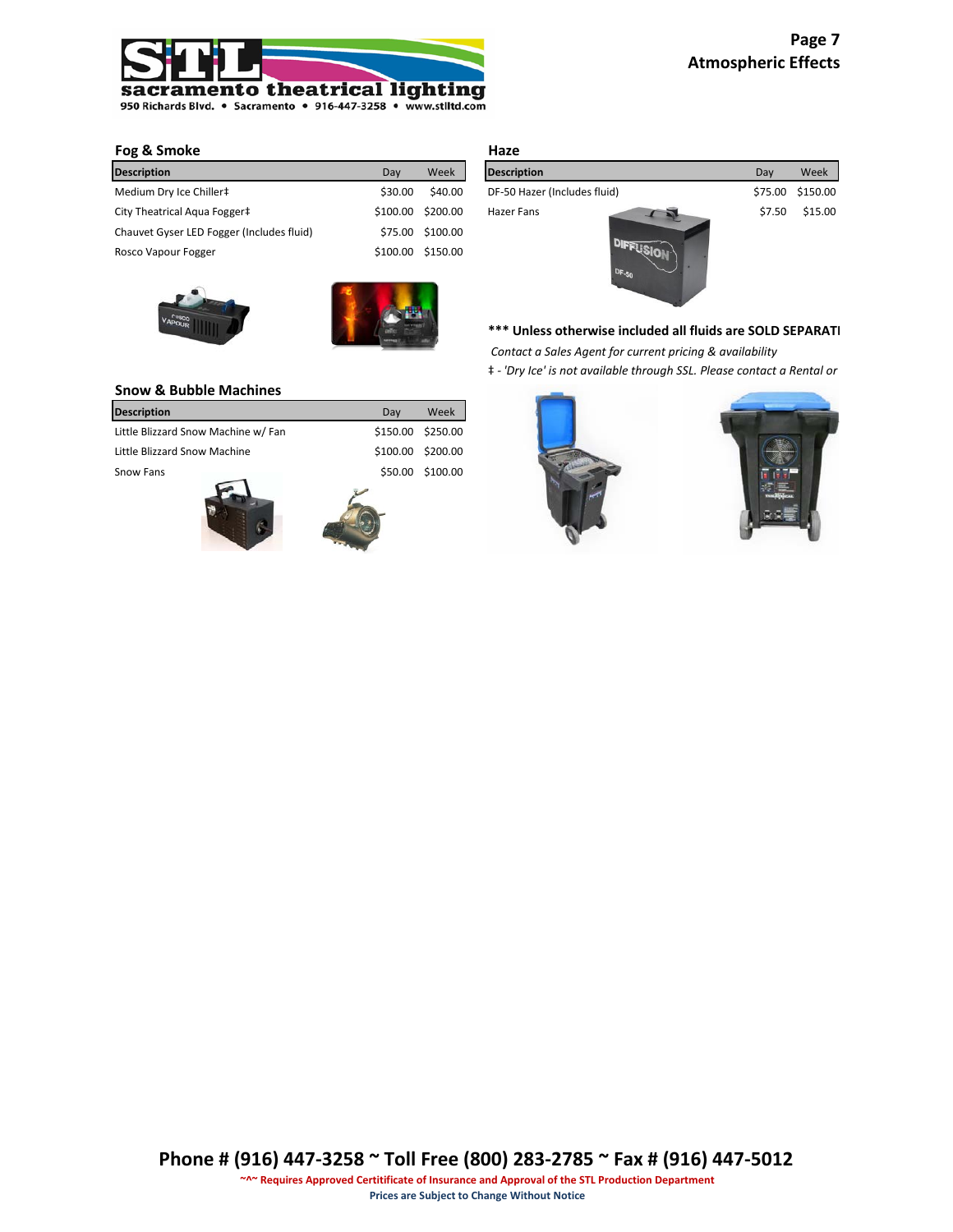

# **Fog & Smoke**

| <b>Description</b>                        | Day     | Week              | <b>Description</b>           | Dav     | Week     |
|-------------------------------------------|---------|-------------------|------------------------------|---------|----------|
| Medium Dry Ice Chiller‡                   | \$30.00 | \$40.00           | DF-50 Hazer (Includes fluid) | \$75.00 | \$150.00 |
| City Theatrical Agua Fogger‡              |         | \$100.00 \$200.00 | Hazer Fans                   | \$7.50  | \$15.00  |
| Chauvet Gyser LED Fogger (Includes fluid) |         | \$75.00 \$100.00  |                              |         |          |
| Rosco Vapour Fogger                       |         | \$100.00 \$150.00 |                              |         |          |





| Haze                                    |         |          |
|-----------------------------------------|---------|----------|
| <b>Description</b>                      | Day     | Week     |
| DF-50 Hazer (Includes fluid)            | \$75.00 | \$150.00 |
| Hazer Fans<br><b>DRIES</b><br>$DF - 50$ | \$7.50  | \$15.00  |

# \*\*\* Unless otherwise included all fluids are SOLD SEPARATI

 *Contact a Sales Agent for current pricing & availability*

‡ *- 'Dry Ice' is not available through SSL. Please contact a Rental or* 

# **Snow & Bubble Machines**

| <b>Description</b>                  | Dav     | Week              |
|-------------------------------------|---------|-------------------|
| Little Blizzard Snow Machine w/ Fan |         | \$150.00 \$250.00 |
| Little Blizzard Snow Machine        |         | \$100.00 \$200.00 |
| Snow Fans                           | \$50.00 | \$100.00          |
|                                     |         |                   |



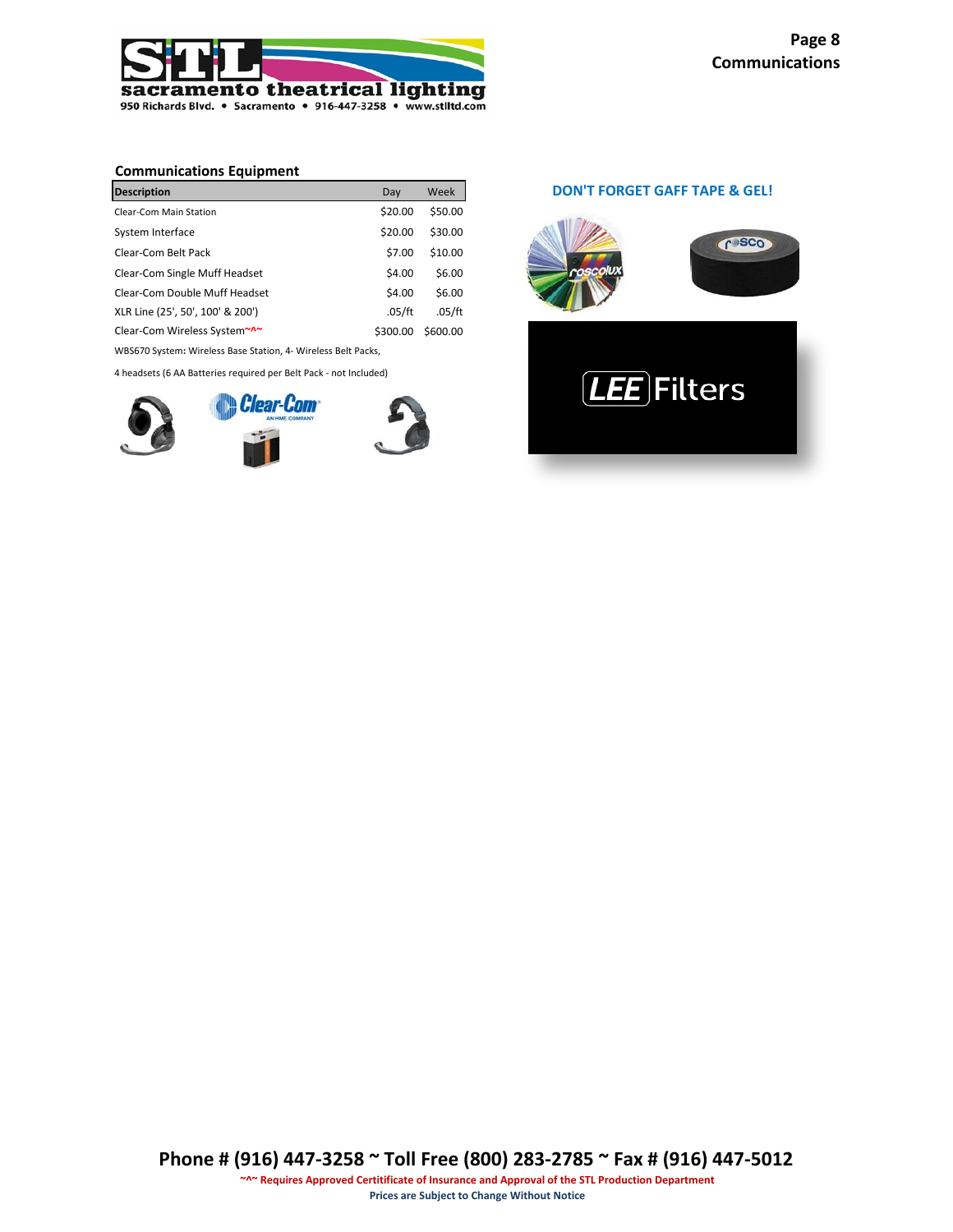

# **Communications Equipment**

| <b>Description</b>               | Day      | Week     |
|----------------------------------|----------|----------|
| Clear-Com Main Station           | \$20.00  | \$50.00  |
| System Interface                 | \$20.00  | \$30.00  |
| Clear-Com Belt Pack              | \$7.00   | \$10.00  |
| Clear-Com Single Muff Headset    | \$4.00   | \$6.00   |
| Clear-Com Double Muff Headset    | \$4.00   | \$6.00   |
| XLR Line (25', 50', 100' & 200') | .05/ft   | .05/ft   |
| Clear-Com Wireless System~^~     | \$300.00 | \$600.00 |

WBS670 System**:** Wireless Base Station, 4- Wireless Belt Packs,

4 headsets (6 AA Batteries required per Belt Pack - not Included)



# **DON'T FORGET GAFF TAPE & GEL!**

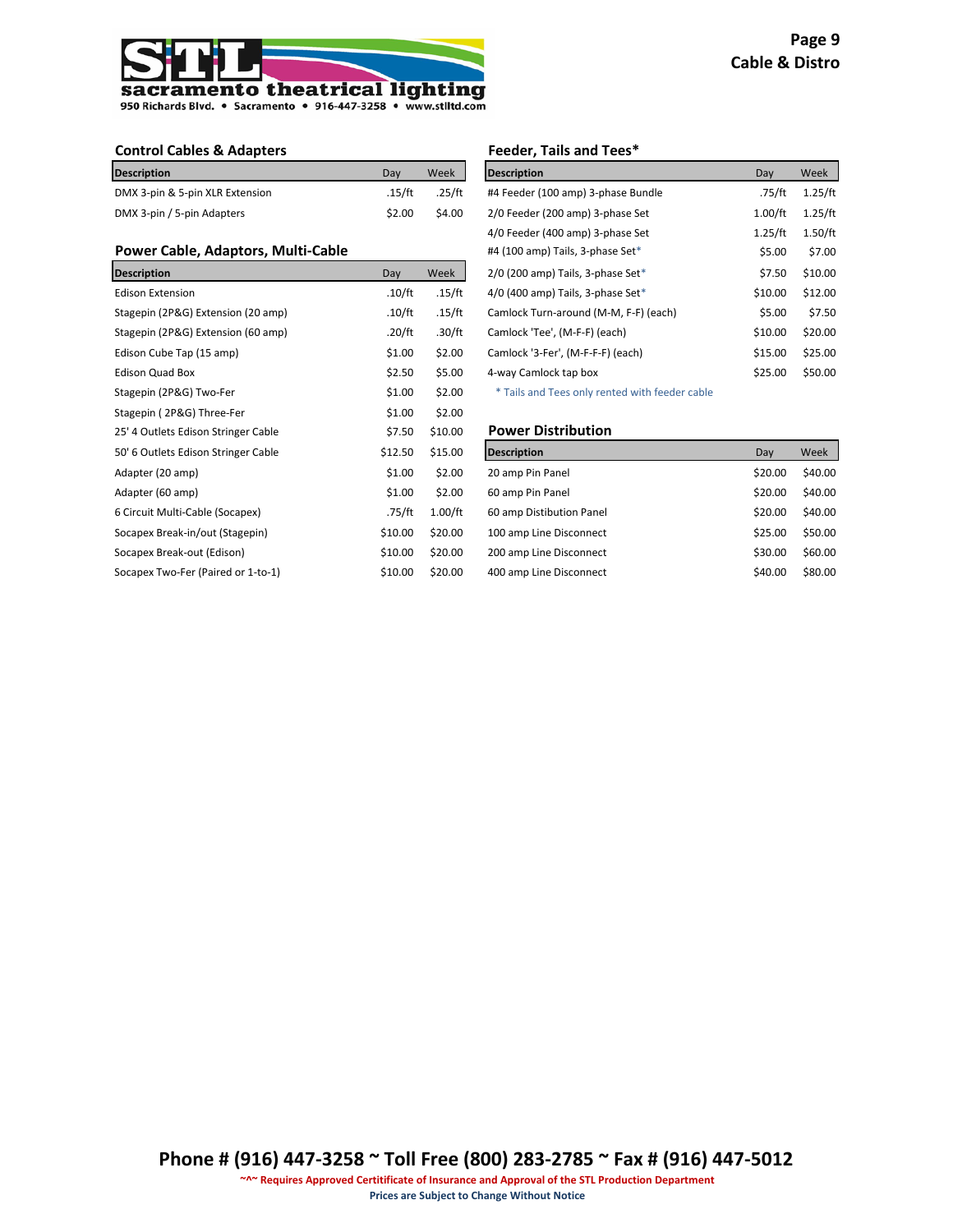

| <b>Description</b>              | Dav    | Week   | <b>Description</b>                 | Dav     | Week    |
|---------------------------------|--------|--------|------------------------------------|---------|---------|
| DMX 3-pin & 5-pin XLR Extension | .15/ft | .25/ft | #4 Feeder (100 amp) 3-phase Bundle | .75/ft  | 1.25/ft |
| DMX 3-pin / 5-pin Adapters      | S2.00  | \$4.00 | 2/0 Feeder (200 amp) 3-phase Set   | 1.00/ft | 1.25/ft |

# **Power Cable, Adaptors, Multi-Cable**

| <b>Description</b>                  | Day     | Week    | 2/0 (200 amp) Tails, 3-phase Set*              | \$7.50  | \$10.00 |
|-------------------------------------|---------|---------|------------------------------------------------|---------|---------|
| <b>Edison Extension</b>             | .10/ft  | .15/ft  | $4/0$ (400 amp) Tails, 3-phase Set*            | \$10.00 | \$12.00 |
| Stagepin (2P&G) Extension (20 amp)  | .10/ft  | .15/ft  | Camlock Turn-around (M-M, F-F) (each)          | \$5.00  | \$7.50  |
| Stagepin (2P&G) Extension (60 amp)  | .20/ft  | .30/ft  | Camlock 'Tee', (M-F-F) (each)                  | \$10.00 | \$20.00 |
| Edison Cube Tap (15 amp)            | \$1.00  | \$2.00  | Camlock '3-Fer', (M-F-F-F) (each)              | \$15.00 | \$25.00 |
| <b>Edison Quad Box</b>              | \$2.50  | \$5.00  | 4-way Camlock tap box                          | \$25.00 | \$50.00 |
| Stagepin (2P&G) Two-Fer             | \$1.00  | \$2.00  | * Tails and Tees only rented with feeder cable |         |         |
| Stagepin (2P&G) Three-Fer           | \$1.00  | \$2.00  |                                                |         |         |
| 25' 4 Outlets Edison Stringer Cable | \$7.50  | \$10.00 | <b>Power Distribution</b>                      |         |         |
|                                     |         |         |                                                |         |         |
| 50' 6 Outlets Edison Stringer Cable | \$12.50 | \$15.00 | <b>Description</b>                             | Day     | Week    |
| Adapter (20 amp)                    | \$1.00  | \$2.00  | 20 amp Pin Panel                               | \$20.00 | \$40.00 |
| Adapter (60 amp)                    | \$1.00  | \$2.00  | 60 amp Pin Panel                               | \$20.00 | \$40.00 |
| 6 Circuit Multi-Cable (Socapex)     | .75/ft  | 1.00/ft | 60 amp Distibution Panel                       | \$20.00 | \$40.00 |
| Socapex Break-in/out (Stagepin)     | \$10.00 | \$20.00 | 100 amp Line Disconnect                        | \$25.00 | \$50.00 |
| Socapex Break-out (Edison)          | \$10.00 | \$20.00 | 200 amp Line Disconnect                        | \$30.00 | \$60.00 |
| Socapex Two-Fer (Paired or 1-to-1)  | \$10.00 | \$20.00 | 400 amp Line Disconnect                        | \$40.00 | \$80.00 |

#### **Control Cables & Adapters Feeder, Tails and Tees\***

| <b>Description</b>                    | Day     | Week    |
|---------------------------------------|---------|---------|
| #4 Feeder (100 amp) 3-phase Bundle    | .75/ft  | 1.25/ft |
| 2/0 Feeder (200 amp) 3-phase Set      | 1.00/ft | 1.25/ft |
| 4/0 Feeder (400 amp) 3-phase Set      | 1.25/ft | 1.50/ft |
| #4 (100 amp) Tails, 3-phase Set*      | \$5.00  | \$7.00  |
| $2/0$ (200 amp) Tails, 3-phase Set*   | \$7.50  | \$10.00 |
| $4/0$ (400 amp) Tails, 3-phase Set*   | \$10.00 | \$12.00 |
| Camlock Turn-around (M-M, F-F) (each) | \$5.00  | \$7.50  |
| Camlock 'Tee', (M-F-F) (each)         | \$10.00 | \$20.00 |
| Camlock '3-Fer', (M-F-F-F) (each)     | \$15.00 | \$25.00 |
| 4-way Camlock tap box                 | \$25.00 | \$50.00 |
|                                       |         |         |

# **Power Distribution**

| <b>Description</b>       | Day     | Week    |
|--------------------------|---------|---------|
| 20 amp Pin Panel         | \$20.00 | \$40.00 |
| 60 amp Pin Panel         | \$20.00 | \$40.00 |
| 60 amp Distibution Panel | \$20.00 | \$40.00 |
| 100 amp Line Disconnect  | \$25.00 | \$50.00 |
| 200 amp Line Disconnect  | \$30.00 | \$60.00 |
| 400 amp Line Disconnect  | \$40.00 | \$80.00 |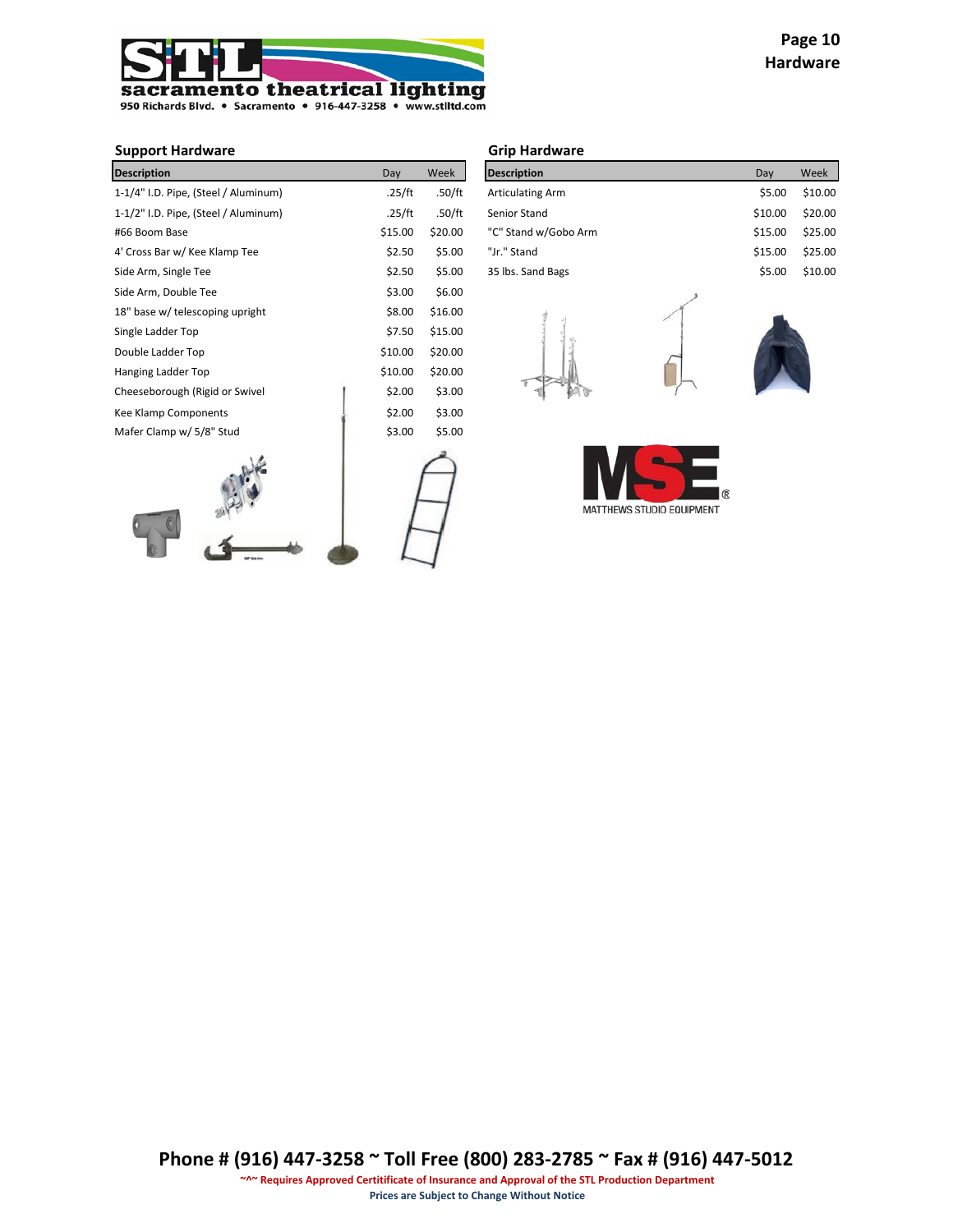

# **Support Hardware Grip Hardware**

| <b>Description</b>                   | Day     | Week    | <b>Description</b>      | Day     | Week    |
|--------------------------------------|---------|---------|-------------------------|---------|---------|
| 1-1/4" I.D. Pipe, (Steel / Aluminum) | .25/ft  | .50/ft  | <b>Articulating Arm</b> | \$5.00  | \$10.00 |
| 1-1/2" I.D. Pipe, (Steel / Aluminum) | .25/ft  | .50/ft  | Senior Stand            | \$10.00 | \$20.00 |
| #66 Boom Base                        | \$15.00 | \$20.00 | "C" Stand w/Gobo Arm    | \$15.00 | \$25.00 |
| 4' Cross Bar w/ Kee Klamp Tee        | \$2.50  | \$5.00  | "Jr." Stand             | \$15.00 | \$25.00 |
| Side Arm, Single Tee                 | \$2.50  | \$5.00  | 35 lbs. Sand Bags       | \$5.00  | \$10.00 |
| Side Arm, Double Tee                 | \$3.00  | \$6.00  |                         |         |         |
| 18" base w/ telescoping upright      | \$8.00  | \$16.00 |                         |         |         |
| Single Ladder Top                    | \$7.50  | \$15.00 |                         |         |         |
| Double Ladder Top                    | \$10.00 | \$20.00 |                         |         |         |
| Hanging Ladder Top                   | \$10.00 | \$20.00 |                         |         |         |
| Cheeseborough (Rigid or Swivel       | \$2.00  | \$3.00  |                         |         |         |
| Kee Klamp Components                 | \$2.00  | \$3.00  |                         |         |         |
| Mafer Clamp w/ 5/8" Stud             | \$3.00  | \$5.00  |                         |         |         |
|                                      |         |         |                         |         |         |

 $\begin{array}{c}\n\mathbb{R}^3 \\
\hline\n\mathbb{R}^3\n\end{array}$ 

| <b>Description</b>      | Dav     | Week    |
|-------------------------|---------|---------|
| <b>Articulating Arm</b> | \$5.00  | \$10.00 |
| Senior Stand            | \$10.00 | \$20.00 |
| "C" Stand w/Gobo Arm    | \$15.00 | \$25.00 |
| "Jr." Stand             | \$15.00 | \$25.00 |
| 35 lbs. Sand Bags       | \$5.00  | \$10.00 |





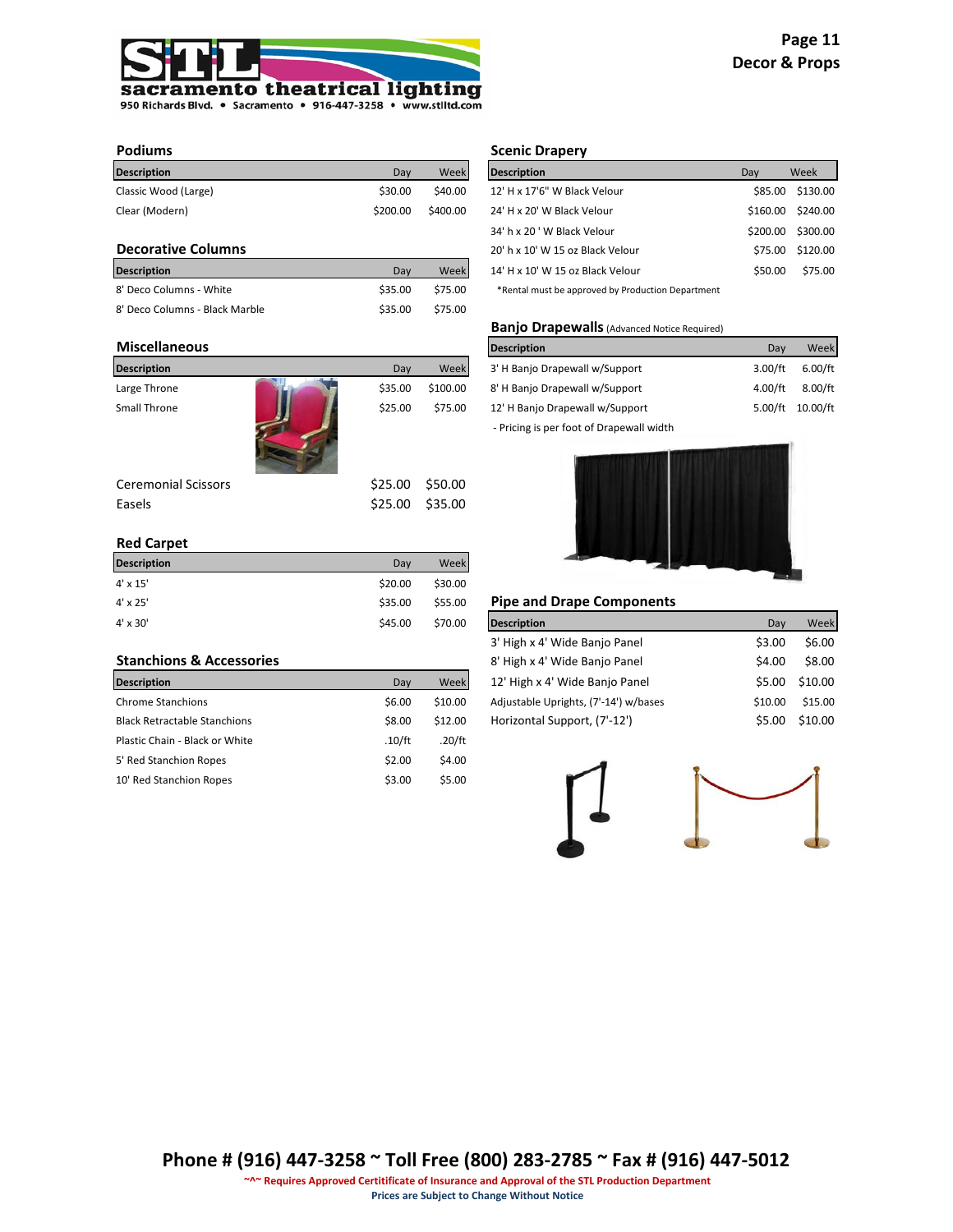

| Dav      | Week     | <b>Description</b>           | Dav | Week                |
|----------|----------|------------------------------|-----|---------------------|
| \$30.00  | \$40.00  | 12' H x 17'6" W Black Velour |     | \$130.00            |
| \$200.00 | \$400.00 | 24' H x 20' W Black Velour   |     | \$240.00            |
|          |          |                              |     | \$85.00<br>\$160.00 |

# **Decorative Columns**

| <b>Description</b>             | Dav     | Week    | 14' H x 10' W 15 oz Black Velour                  | \$50.00 | \$75.00 |
|--------------------------------|---------|---------|---------------------------------------------------|---------|---------|
| 8' Deco Columns - White        | \$35.00 | \$75.00 | *Rental must be approved by Production Department |         |         |
| 8' Deco Columns - Black Marble | \$35.00 | \$75.00 |                                                   |         |         |

#### **Miscellaneous**

| <b>Description</b>         | Day     | Week     | 3' H Banjo Drapewall w/Support           | 3.00/ft | 6.00/ft  |
|----------------------------|---------|----------|------------------------------------------|---------|----------|
| Large Throne               | \$35.00 | \$100.00 | 8' H Banjo Drapewall w/Support           | 4.00/ft | 8.00/ft  |
| Small Throne               | \$25.00 | \$75.00  | 12' H Banjo Drapewall w/Support          | 5.00/ft | 10.00/ft |
|                            |         |          | - Pricing is per foot of Drapewall width |         |          |
| <b>Ceremonial Scissors</b> | \$25.00 | \$50.00  |                                          |         |          |
| Easels                     | \$25.00 | \$35.00  |                                          |         |          |

# **Red Carpet**

| <b>Description</b> | Dav     | Week    |                                  |     |      |
|--------------------|---------|---------|----------------------------------|-----|------|
| $4' \times 15'$    | \$20.00 | \$30.00 |                                  |     |      |
| $4' \times 25'$    | \$35.00 | \$55.00 | <b>Pipe and Drape Components</b> |     |      |
| $4' \times 30'$    | \$45.00 | \$70.00 | <b>Description</b>               | Day | Week |

## **Stanchions & Accessories**

| <b>Description</b>                  | Day    | Week    | 12' High x 4' Wide Banjo Panel        | \$5.00  | \$10.00 |
|-------------------------------------|--------|---------|---------------------------------------|---------|---------|
| <b>Chrome Stanchions</b>            | \$6.00 | \$10.00 | Adjustable Uprights, (7'-14') w/bases | \$10.00 | \$15.00 |
| <b>Black Retractable Stanchions</b> | \$8.00 | \$12.00 | Horizontal Support, (7'-12')          | \$5.00  | \$10.00 |
| Plastic Chain - Black or White      | .10/ft | .20/ft  |                                       |         |         |
| 5' Red Stanchion Ropes              | \$2.00 | \$4.00  |                                       |         |         |
| 10' Red Stanchion Ropes             | \$3.00 | \$5.00  |                                       |         |         |

# **Podiums Scenic Drapery**

| <b>Description</b>                                | Day     | Week              |
|---------------------------------------------------|---------|-------------------|
| 12' H x 17'6" W Black Velour                      |         | \$85.00 \$130.00  |
| 24' H x 20' W Black Velour                        |         | \$160.00 \$240.00 |
| 34' h x 20 ' W Black Velour                       |         | \$200.00 \$300.00 |
| 20' h x 10' W 15 oz Black Velour                  |         | \$75.00 \$120.00  |
| 14' H x 10' W 15 oz Black Velour                  | \$50.00 | \$75.00           |
| *Rental must be approved by Production Department |         |                   |

#### **Banjo Drapewalls**(Advanced Notice Required)

| Description                              | Dav     | Week     |
|------------------------------------------|---------|----------|
| 3' H Banjo Drapewall w/Support           | 3.00/ft | 6.00/ft  |
| 8' H Banjo Drapewall w/Support           | 4.00/ft | 8.00/ft  |
| 12' H Banjo Drapewall w/Support          | 5.00/ft | 10.00/ft |
| - Pricing is per foot of Drapewall width |         |          |



# **Pipe and Drape Components**

| <b>Description</b>                    | Dav     | Week    |
|---------------------------------------|---------|---------|
| 3' High x 4' Wide Banjo Panel         | \$3.00  | \$6.00  |
| 8' High x 4' Wide Banjo Panel         | \$4.00  | \$8.00  |
| 12' High x 4' Wide Banjo Panel        | \$5.00  | \$10.00 |
| Adjustable Uprights, (7'-14') w/bases | \$10.00 | \$15.00 |
| Horizontal Support, (7'-12')          | \$5.00  | \$10.00 |

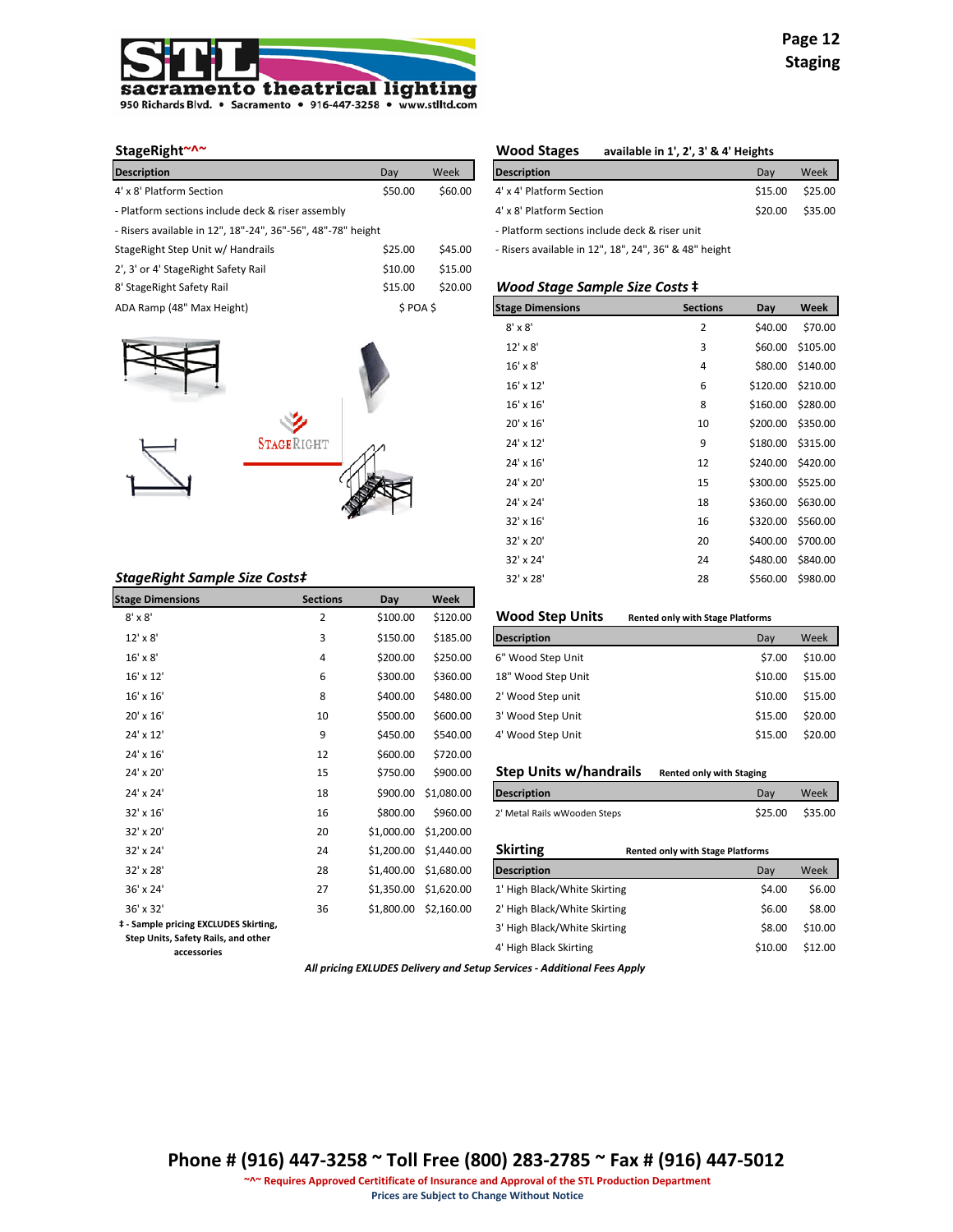

| <b>Description</b>                                          | Day     | Week    | <b>Description</b>                                    |                 | Day     | Week    |
|-------------------------------------------------------------|---------|---------|-------------------------------------------------------|-----------------|---------|---------|
| 4' x 8' Platform Section                                    | \$50.00 | \$60.00 | 4' x 4' Platform Section                              |                 | \$15.00 | \$25.00 |
| - Platform sections include deck & riser assembly           |         |         | 4' x 8' Platform Section                              |                 | \$20.00 | \$35.00 |
| - Risers available in 12", 18"-24", 36"-56", 48"-78" height |         |         | - Platform sections include deck & riser unit         |                 |         |         |
| StageRight Step Unit w/ Handrails                           | \$25.00 | \$45.00 | - Risers available in 12", 18", 24", 36" & 48" height |                 |         |         |
| 2', 3' or 4' StageRight Safety Rail                         | \$10.00 | \$15.00 |                                                       |                 |         |         |
| 8' StageRight Safety Rail                                   | \$15.00 | \$20.00 | <b>Wood Stage Sample Size Costs ‡</b>                 |                 |         |         |
| ADA Ramp (48" Max Height)                                   | S POA S |         | <b>Stage Dimensions</b>                               | <b>Sections</b> | Day     | Week    |



| StageRight Sample Size Costs‡                |                 |            |            | 32' x 28'                     | 28                                      | \$560.00 | \$980.00 |
|----------------------------------------------|-----------------|------------|------------|-------------------------------|-----------------------------------------|----------|----------|
| <b>Stage Dimensions</b>                      | <b>Sections</b> | Day        | Week       |                               |                                         |          |          |
| $8' \times 8'$                               | $\overline{2}$  | \$100.00   | \$120.00   | <b>Wood Step Units</b>        | <b>Rented only with Stage Platforms</b> |          |          |
| 12' x 8'                                     | 3               | \$150.00   | \$185.00   | <b>Description</b>            |                                         | Day      | Week     |
| $16' \times 8'$                              | 4               | \$200.00   | \$250.00   | 6" Wood Step Unit             |                                         | \$7.00   | \$10.00  |
| 16' x 12'                                    | 6               | \$300.00   | \$360.00   | 18" Wood Step Unit            |                                         | \$10.00  | \$15.00  |
| 16' x 16'                                    | 8               | \$400.00   | \$480.00   | 2' Wood Step unit             |                                         | \$10.00  | \$15.00  |
| 20' x 16'                                    | 10              | \$500.00   | \$600.00   | 3' Wood Step Unit             |                                         | \$15.00  | \$20.00  |
| 24' x 12'                                    | 9               | \$450.00   | \$540.00   | 4' Wood Step Unit             |                                         | \$15.00  | \$20.00  |
| 24' x 16'                                    | 12              | \$600.00   | \$720.00   |                               |                                         |          |          |
| 24' x 20'                                    | 15              | \$750.00   | \$900.00   | <b>Step Units w/handrails</b> | <b>Rented only with Staging</b>         |          |          |
| 24' x 24'                                    | 18              | \$900.00   | \$1,080.00 | <b>Description</b>            |                                         | Day      | Week     |
| 32' x 16'                                    | 16              | \$800.00   | \$960.00   | 2' Metal Rails wWooden Steps  |                                         | \$25.00  | \$35.00  |
| 32' x 20'                                    | 20              | \$1,000.00 | \$1,200.00 |                               |                                         |          |          |
| 32' x 24'                                    | 24              | \$1,200.00 | \$1,440.00 | <b>Skirting</b>               | <b>Rented only with Stage Platforms</b> |          |          |
| 32' x 28'                                    | 28              | \$1,400.00 | \$1,680.00 | <b>Description</b>            |                                         | Day      | Week     |
| 36' x 24'                                    | 27              | \$1,350.00 | \$1,620.00 | 1' High Black/White Skirting  |                                         | \$4.00   | \$6.00   |
| 36' x 32'                                    | 36              | \$1,800.00 | \$2,160.00 | 2' High Black/White Skirting  |                                         | \$6.00   | \$8.00   |
| <b>‡</b> - Sample pricing EXCLUDES Skirting, |                 |            |            | 3' High Black/White Skirting  |                                         | \$8.00   | \$10.00  |

**Step Units, Safety Rails, and other** 

**accessories**

## **StageRight~^~ Wood Stages available in 1', 2', 3' & 4' Heights**

| <b>Description</b>                            | Dav             | Week    |
|-----------------------------------------------|-----------------|---------|
| 4' x 4' Platform Section                      | \$15.00 \$25.00 |         |
| 4' x 8' Platform Section                      | \$20.00         | \$35.00 |
| - Platform sections include deck & riser unit |                 |         |

#### **Wood Stage Sample Size Costs ‡**

| ADA Ramp (48" Max Height)     |                   | \$POA\$ | <b>Stage Dimensions</b> | <b>Sections</b> | Day               | Week              |
|-------------------------------|-------------------|---------|-------------------------|-----------------|-------------------|-------------------|
|                               |                   |         | $8' \times 8'$          | $\overline{2}$  | \$40.00           | \$70.00           |
|                               |                   |         | 12' x 8'                | 3               | \$60.00           | \$105.00          |
|                               |                   |         | $16' \times 8'$         | 4               |                   | \$80.00 \$140.00  |
|                               |                   |         | 16' x 12'               | 6               |                   | \$120.00 \$210.00 |
|                               |                   |         | 16' x 16'               | 8               |                   | \$160.00 \$280.00 |
|                               |                   |         | 20' x 16'               | 10              |                   | \$200.00 \$350.00 |
|                               | <b>STAGERIGHT</b> |         | 24' x 12'               | 9               | \$180.00 \$315.00 |                   |
|                               |                   |         | 24' x 16'               | 12              |                   | \$240.00 \$420.00 |
|                               |                   |         | 24' x 20'               | 15              |                   | \$300.00 \$525.00 |
|                               |                   |         | 24' x 24'               | 18              |                   | \$360.00 \$630.00 |
|                               |                   |         | 32' x 16'               | 16              |                   | \$320.00 \$560.00 |
|                               |                   |         | 32' x 20'               | 20              |                   | \$400.00 \$700.00 |
|                               |                   |         | 32' x 24'               | 24              |                   | \$480.00 \$840.00 |
| StageRight Sample Size Costs‡ |                   |         | 32' x 28'               | 28              |                   | \$560.00 \$980.00 |

#### **Wood Step Units** Rented only with Stage Platforms

| <b>Description</b> | Dav     | Week    |
|--------------------|---------|---------|
| 6" Wood Step Unit  | \$7.00  | \$10.00 |
| 18" Wood Step Unit | \$10.00 | \$15.00 |
| 2' Wood Step unit  | \$10.00 | \$15.00 |
| 3' Wood Step Unit  | \$15.00 | \$20.00 |
| 4' Wood Step Unit  | \$15.00 | \$20.00 |

# **25 Step Units w/handrails** Rented only with Staging

| <b>Description</b>           | Dav             | Week |
|------------------------------|-----------------|------|
| 2' Metal Rails wWooden Steps | \$25.00 \$35.00 |      |

| <b>Skirting</b>              | <b>Rented only with Stage Platforms</b> |         |         |
|------------------------------|-----------------------------------------|---------|---------|
| <b>Description</b>           |                                         | Dav     | Week    |
| 1' High Black/White Skirting |                                         | \$4.00  | \$6.00  |
| 2' High Black/White Skirting |                                         | \$6.00  | \$8.00  |
| 3' High Black/White Skirting |                                         | \$8.00  | \$10.00 |
| 4' High Black Skirting       |                                         | \$10.00 | \$12.00 |
|                              |                                         |         |         |

*All pricing EXLUDES Delivery and Setup Services - Additional Fees Apply*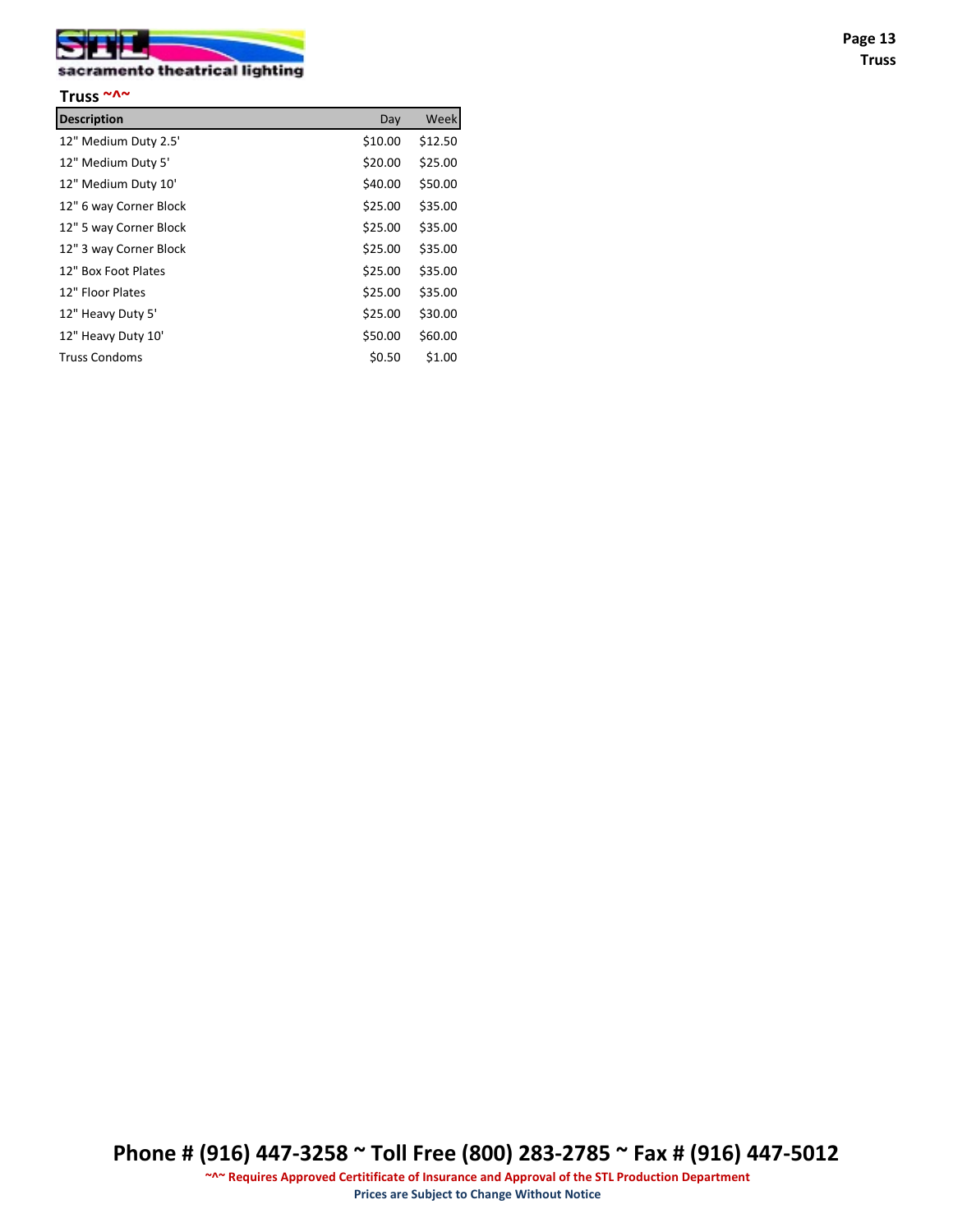

# sacramento theatrical lighting

| Truss $~\sim \sim$     |         |         |
|------------------------|---------|---------|
| <b>Description</b>     | Day     | Week    |
| 12" Medium Duty 2.5'   | \$10.00 | \$12.50 |
| 12" Medium Duty 5'     | \$20.00 | \$25.00 |
| 12" Medium Duty 10'    | \$40.00 | \$50.00 |
| 12" 6 way Corner Block | \$25.00 | \$35.00 |
| 12" 5 way Corner Block | \$25.00 | \$35.00 |
| 12" 3 way Corner Block | \$25.00 | \$35.00 |
| 12" Box Foot Plates    | \$25.00 | \$35.00 |
| 12" Floor Plates       | \$25.00 | \$35.00 |
| 12" Heavy Duty 5'      | \$25.00 | \$30.00 |
| 12" Heavy Duty 10'     | \$50.00 | \$60.00 |
| <b>Truss Condoms</b>   | \$0.50  | \$1.00  |